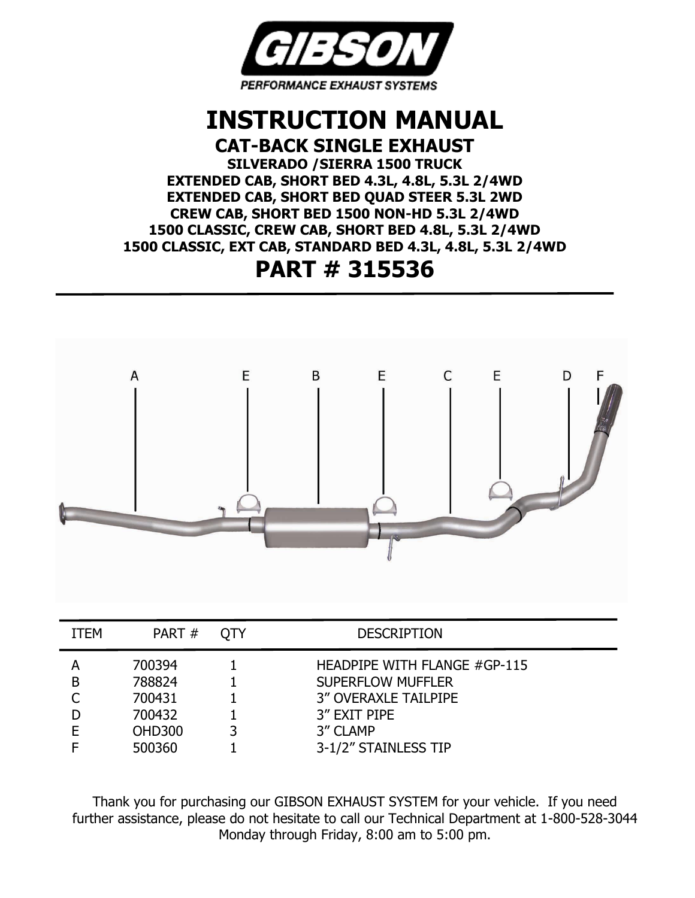

### **INSTRUCTION MANUAL CAT-BACK SINGLE EXHAUST**

**SILVERADO /SIERRA 1500 TRUCK**

**EXTENDED CAB, SHORT BED 4.3L, 4.8L, 5.3L 2/4WD EXTENDED CAB, SHORT BED QUAD STEER 5.3L 2WD CREW CAB, SHORT BED 1500 NON-HD 5.3L 2/4WD 1500 CLASSIC, CREW CAB, SHORT BED 4.8L, 5.3L 2/4WD 1500 CLASSIC, EXT CAB, STANDARD BED 4.3L, 4.8L, 5.3L 2/4WD**

## **PART # 315536**



| <b>ITEM</b> | PART#                                                           | <b>OTY</b> | <b>DESCRIPTION</b>                                                                                                                          |
|-------------|-----------------------------------------------------------------|------------|---------------------------------------------------------------------------------------------------------------------------------------------|
| B           | 700394<br>788824<br>700431<br>700432<br><b>OHD300</b><br>500360 |            | HEADPIPE WITH FLANGE #GP-115<br><b>SUPERFLOW MUFFLER</b><br><b>3" OVERAXLE TAILPIPE</b><br>3" EXIT PIPE<br>3" CLAMP<br>3-1/2" STAINLESS TIP |

Thank you for purchasing our GIBSON EXHAUST SYSTEM for your vehicle. If you need further assistance, please do not hesitate to call our Technical Department at 1-800-528-3044 Monday through Friday, 8:00 am to 5:00 pm.